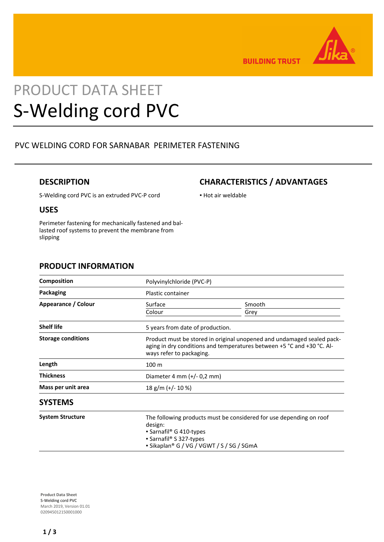

**BUILDING TRUST** 

# PRODUCT DATA SHEET S-Welding cord PVC

## PVC WELDING CORD FOR SARNABAR PERIMETER FASTENING

#### **DESCRIPTION**

### **CHARACTERISTICS / ADVANTAGES**

▪ Hot air weldable

S-Welding cord PVC is an extruded PVC-P cord

#### **USES**

Perimeter fastening for mechanically fastened and ballasted roof systems to prevent the membrane from slipping

#### **PRODUCT INFORMATION**

| <b>Composition</b>        | Polyvinylchloride (PVC-P)                                                                                                                                                         |                |
|---------------------------|-----------------------------------------------------------------------------------------------------------------------------------------------------------------------------------|----------------|
| Packaging                 | Plastic container                                                                                                                                                                 |                |
| Appearance / Colour       | Surface<br>Colour                                                                                                                                                                 | Smooth<br>Grey |
| <b>Shelf life</b>         | 5 years from date of production.                                                                                                                                                  |                |
| <b>Storage conditions</b> | Product must be stored in original unopened and undamaged sealed pack-<br>aging in dry conditions and temperatures between +5 °C and +30 °C. Al-<br>ways refer to packaging.      |                |
| Length                    | 100 <sub>m</sub>                                                                                                                                                                  |                |
| <b>Thickness</b>          | Diameter 4 mm $(+/- 0.2$ mm)                                                                                                                                                      |                |
| Mass per unit area        | 18 g/m (+/- 10 %)                                                                                                                                                                 |                |
| <b>SYSTEMS</b>            |                                                                                                                                                                                   |                |
| <b>System Structure</b>   | The following products must be considered for use depending on roof<br>design:<br>• Sarnafil® G 410-types<br>• Sarnafil® S 327-types<br>• Sikaplan® G / VG / VGWT / S / SG / SGmA |                |

**Product Data Sheet** S-Welding cord PVC March 2019, Version 01.01 020945012150001000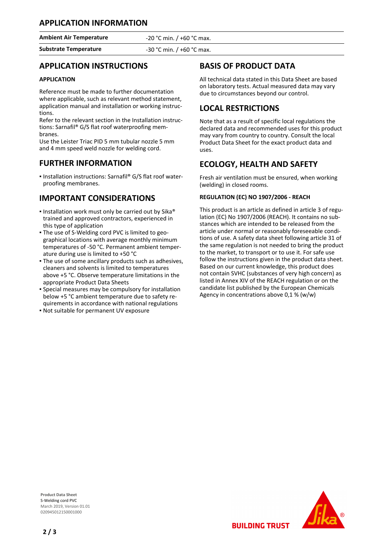**Ambient Air Temperature** -20 °C min. / +60 °C max.

**Substrate Temperature** -30 °C min. / +60 °C max.

### **APPLICATION INSTRUCTIONS**

#### **APPLICATION**

Reference must be made to further documentation where applicable, such as relevant method statement, application manual and installation or working instructions.

Refer to the relevant section in the Installation instructions: Sarnafil® G/S flat roof waterproofing membranes.

Use the Leister Triac PID 5 mm tubular nozzle 5 mm and 4 mm speed weld nozzle for welding cord.

#### **FURTHER INFORMATION**

■ Installation instructions: Sarnafil® G/S flat roof waterproofing membranes.

### **IMPORTANT CONSIDERATIONS**

- **.** Installation work must only be carried out by Sika® trained and approved contractors, experienced in this type of application
- The use of S-Welding cord PVC is limited to geo-▪ graphical locations with average monthly minimum temperatures of -50 °C. Permanent ambient temperature during use is limited to +50 °C
- The use of some ancillary products such as adhesives, cleaners and solvents is limited to temperatures above +5 °C. Observe temperature limitations in the appropriate Product Data Sheets
- **·** Special measures may be compulsory for installation below +5 °C ambient temperature due to safety requirements in accordance with national regulations
- Not suitable for permanent UV exposure

# **BASIS OF PRODUCT DATA**

All technical data stated in this Data Sheet are based on laboratory tests. Actual measured data may vary due to circumstances beyond our control.

#### **LOCAL RESTRICTIONS**

Note that as a result of specific local regulations the declared data and recommended uses for this product may vary from country to country. Consult the local Product Data Sheet for the exact product data and uses.

#### **ECOLOGY, HEALTH AND SAFETY**

Fresh air ventilation must be ensured, when working (welding) in closed rooms.

#### **REGULATION (EC) NO 1907/2006 - REACH**

This product is an article as defined in article 3 of regulation (EC) No 1907/2006 (REACH). It contains no substances which are intended to be released from the article under normal or reasonably foreseeable conditions of use. A safety data sheet following article 31 of the same regulation is not needed to bring the product to the market, to transport or to use it. For safe use follow the instructions given in the product data sheet. Based on our current knowledge, this product does not contain SVHC (substances of very high concern) as listed in Annex XIV of the REACH regulation or on the candidate list published by the European Chemicals Agency in concentrations above 0,1 % (w/w)

**Product Data Sheet** S-Welding cord PVC March 2019, Version 01.01 020945012150001000



**BUILDING TRUST**